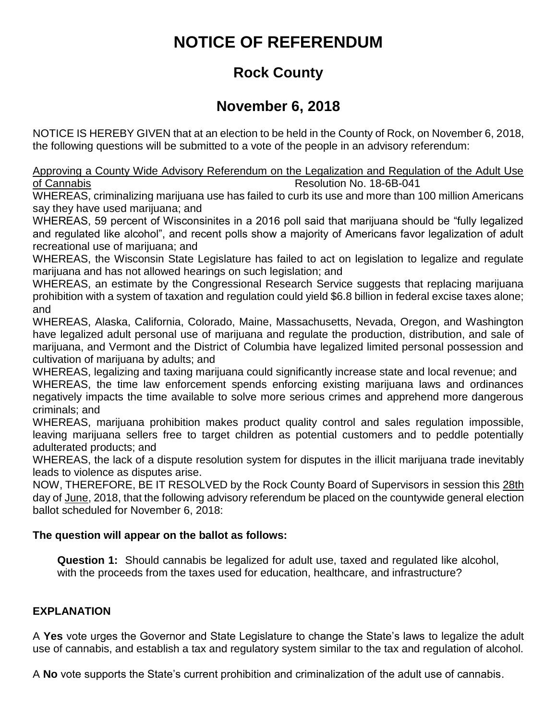# **NOTICE OF REFERENDUM**

## **Rock County**

### **November 6, 2018**

NOTICE IS HEREBY GIVEN that at an election to be held in the County of Rock, on November 6, 2018, the following questions will be submitted to a vote of the people in an advisory referendum:

Approving a County Wide Advisory Referendum on the Legalization and Regulation of the Adult Use of Cannabis Resolution No. 18-6B-041

WHEREAS, criminalizing marijuana use has failed to curb its use and more than 100 million Americans say they have used marijuana; and

WHEREAS, 59 percent of Wisconsinites in a 2016 poll said that marijuana should be "fully legalized and regulated like alcohol", and recent polls show a majority of Americans favor legalization of adult recreational use of marijuana; and

WHEREAS, the Wisconsin State Legislature has failed to act on legislation to legalize and regulate marijuana and has not allowed hearings on such legislation; and

WHEREAS, an estimate by the Congressional Research Service suggests that replacing marijuana prohibition with a system of taxation and regulation could yield \$6.8 billion in federal excise taxes alone; and

WHEREAS, Alaska, California, Colorado, Maine, Massachusetts, Nevada, Oregon, and Washington have legalized adult personal use of marijuana and regulate the production, distribution, and sale of marijuana, and Vermont and the District of Columbia have legalized limited personal possession and cultivation of marijuana by adults; and

WHEREAS, legalizing and taxing marijuana could significantly increase state and local revenue; and WHEREAS, the time law enforcement spends enforcing existing marijuana laws and ordinances negatively impacts the time available to solve more serious crimes and apprehend more dangerous criminals; and

WHEREAS, marijuana prohibition makes product quality control and sales regulation impossible, leaving marijuana sellers free to target children as potential customers and to peddle potentially adulterated products; and

WHEREAS, the lack of a dispute resolution system for disputes in the illicit marijuana trade inevitably leads to violence as disputes arise.

NOW, THEREFORE, BE IT RESOLVED by the Rock County Board of Supervisors in session this 28th day of June, 2018, that the following advisory referendum be placed on the countywide general election ballot scheduled for November 6, 2018:

### **The question will appear on the ballot as follows:**

**Question 1:** Should cannabis be legalized for adult use, taxed and regulated like alcohol, with the proceeds from the taxes used for education, healthcare, and infrastructure?

### **EXPLANATION**

A **Yes** vote urges the Governor and State Legislature to change the State's laws to legalize the adult use of cannabis, and establish a tax and regulatory system similar to the tax and regulation of alcohol.

A **No** vote supports the State's current prohibition and criminalization of the adult use of cannabis.